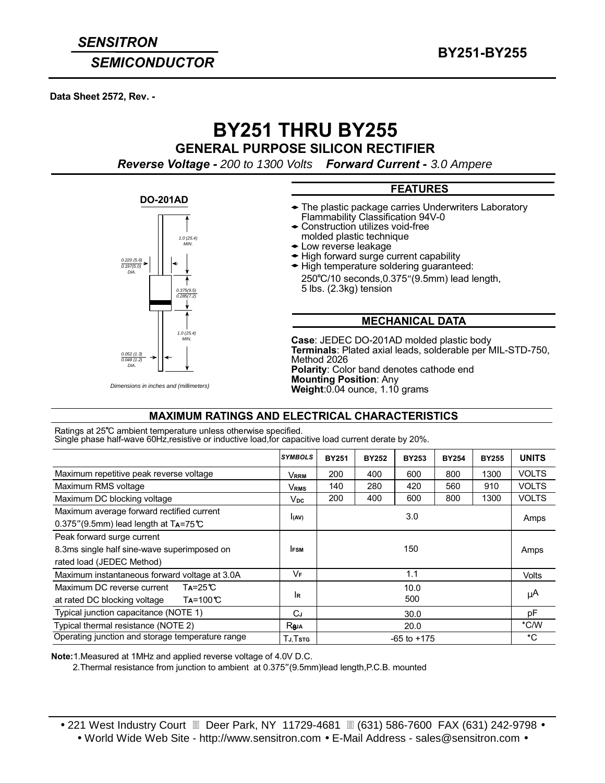## **SEMICONDUCTOR**

Data Sheet 2572, Rev. -

# **BY251 THRU BY255**

**GENERAL PURPOSE SILICON RECTIFIER** 

Reverse Voltage - 200 to 1300 Volts Forward Current - 3.0 Ampere

### **DO-201AD**



Dimensions in inches and (millimeters)

## **FEATURES**

- The plastic package carries Underwriters Laboratory Flammability Classification 94V-0
- Construction utilizes void-free
- molded plastic technique ◆ Low reverse leakage
- ← High forward surge current capability
- ← High temperature soldering guaranteed: 250°C/10 seconds, 0.375" (9.5mm) lead length, 5 lbs. (2.3kg) tension

### **MECHANICAL DATA**

Case: JEDEC DO-201AD molded plastic body Terminals: Plated axial leads, solderable per MIL-STD-750, Method 2026 Polarity: Color band denotes cathode end **Mounting Position: Any** Weight: 0.04 ounce, 1.10 grams

## **MAXIMUM RATINGS AND ELECTRICAL CHARACTERISTICS**

Ratings at 25°C ambient temperature unless otherwise specified. Single phase half-wave 60Hz, resistive or inductive load, for capacitive load current derate by 20%.

|                                                                                                               | <b>SYMBOLS</b>   | <b>BY251</b>    | <b>BY252</b> | <b>BY253</b> | <b>BY254</b> | <b>BY255</b> | <b>UNITS</b> |
|---------------------------------------------------------------------------------------------------------------|------------------|-----------------|--------------|--------------|--------------|--------------|--------------|
| Maximum repetitive peak reverse voltage                                                                       | <b>VRRM</b>      | 200             | 400          | 600          | 800          | 1300         | <b>VOLTS</b> |
| Maximum RMS voltage                                                                                           | Vrms             | 140             | 280          | 420          | 560          | 910          | <b>VOLTS</b> |
| Maximum DC blocking voltage                                                                                   | Vpc.             | 200             | 400          | 600          | 800          | 1300         | <b>VOLTS</b> |
| Maximum average forward rectified current<br>$0.375$ " (9.5mm) lead length at TA=75°C                         | (AV)             | 3.0             |              |              |              |              | Amps         |
| Peak forward surge current<br>8.3ms single half sine-wave superimposed on<br>rated load (JEDEC Method)        | <b>IFSM</b>      | 150             |              |              |              |              | Amps         |
| Maximum instantaneous forward voltage at 3.0A                                                                 | VF               | 1.1             |              |              |              |              | Volts        |
| $Ta = 25^{\circ}C$<br>Maximum DC reverse current<br>$Ta = 100$ <sup>°</sup> C<br>at rated DC blocking voltage | 1R               | 10.0<br>500     |              |              |              |              | $\mu$ A      |
| Typical junction capacitance (NOTE 1)                                                                         | СJ<br>30.0       |                 |              |              |              | рF           |              |
| Typical thermal resistance (NOTE 2)                                                                           | R <sub>aja</sub> | 20.0            |              |              |              |              | °C/W         |
| Operating junction and storage temperature range                                                              | Tj.Tstg          | $-65$ to $+175$ |              |              |              |              | °C           |

Note: 1. Measured at 1MHz and applied reverse voltage of 4.0V D.C.

2. Thermal resistance from junction to ambient at 0.375" (9.5mm) lead length, P.C.B. mounted

• 221 West Industry Court II Deer Park, NY 11729-4681 II (631) 586-7600 FAX (631) 242-9798 •

• World Wide Web Site - http://www.sensitron.com • E-Mail Address - sales@sensitron.com •